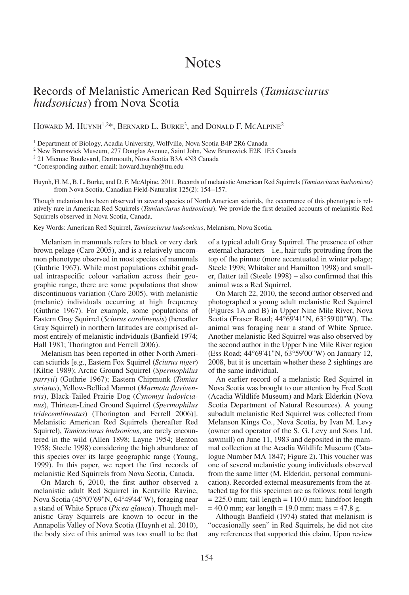## **Notes**

## Records of Melanistic American Red Squirrels (*Tamiasciurus hudsonicus*) from Nova Scotia

HOWARD M. HUYNH<sup>1,2\*</sup>, BERNARD L. BURKE<sup>3</sup>, and DONALD F. MCALPINE<sup>2</sup>

<sup>1</sup> Department of Biology, Acadia University, Wolfville, Nova Scotia B4P 2R6 Canada

<sup>2</sup> New Brunswick Museum, 277 Douglas Avenue, Saint John, New Brunswick E2K 1E5 Canada

<sup>3</sup> 21 Micmac Boulevard, Dartmouth, Nova Scotia B3A 4N3 Canada

\*Corresponding author: email: howard.huynh@ttu.edu

Huynh, H. M.,B. L.Burke, and D. F. McAlpine. 2011. Records of melanistic American Red Squirrels (*Tamiasciurus hudsonicus*) from Nova Scotia. Canadian Field-Naturalist 125(2): 154–157.

Though melanism has been observed in several species of North American sciurids, the occurrence of this phenotype is relatively rare in American Red Squirrels (*Tamiasciurus hudsonicus*). We provide the first detailed accounts of melanistic Red Squirrels observed in Nova Scotia, Canada.

Key Words: American Red Squirrel, *Tamiasciurus hudsonicus*, Melanism, Nova Scotia.

Melanism in mammals refers to black or very dark brown pelage (Caro 2005), and is a relatively uncommon phenotype observed in most species of mammals (Guthrie 1967). While most populations exhibit gradual intraspecific colour variation across their geographic range, there are some populations that show discontinuous variation (Caro 2005), with melanistic (melanic) individuals occurring at high frequency (Guthrie 1967). For example, some populations of Eastern Gray Squirrel (*Sciurus carolinensis*) (hereafter Gray Squirrel) in northern latitudes are comprised almost entirely of melanistic individuals (Banfield 1974; Hall 1981; Thorington and Ferrell 2006).

Melanism has been reported in other North American sciurids [e.g., Eastern Fox Squirrel (*Sciurus niger*) (Kiltie 1989); Arctic Ground Squirrel (*Spermophilus parryii*) (Guthrie 1967); Eastern Chipmunk (*Tamias striatus*), Yellow-Bellied Marmot (*Marmota flaviventris*), Black-Tailed Prairie Dog (*Cynomys ludovicianus*), Thirteen-Lined Ground Squirrel (*Spermophilus tridecemlineatus*) (Thorington and Ferrell 2006)]. Melanistic American Red Squirrels (hereafter Red Squirrel), *Tamiasciurus hudsonicus*, are rarely encountered in the wild (Allen 1898; Layne 1954; Benton 1958; Steele 1998) considering the high abundance of this species over its large geographic range (Young, 1999). In this paper, we report the first records of melanistic Red Squirrels from Nova Scotia, Canada.

On March 6, 2010, the first author observed a melanistic adult Red Squirrel in Kentville Ravine, Nova Scotia (45°07'69"N, 64°49'44"W), foraging near a stand of White Spruce (*Picea glauca*). Though melanistic Gray Squirrels are known to occur in the Annapolis Valley of Nova Scotia (Huynh et al. 2010), the body size of this animal was too small to be that of a typical adult Gray Squirrel. The presence of other external characters – i.e., hair tufts protruding from the top of the pinnae (more accentuated in winter pelage; Steele 1998; Whitaker and Hamilton 1998) and smaller, flatter tail (Steele 1998) – also confirmed that this animal was a Red Squirrel.

On March 22, 2010, the second author observed and photographed a young adult melanistic Red Squirrel (Figures 1A and B) in Upper Nine Mile River, Nova Scotia (Fraser Road; 44°69'41"N, 63°59'00"W). The animal was foraging near a stand of White Spruce. Another melanistic Red Squirrel was also observed by the second author in the Upper Nine Mile River region (Ess Road; 44°69'41"N, 63°59'00"W) on January 12, 2008, but it is uncertain whether these 2 sightings are of the same individual.

An earlier record of a melanistic Red Squirrel in Nova Scotia was brought to our attention by Fred Scott (Acadia Wildlife Museum) and Mark Elderkin (Nova Scotia Department of Natural Resources). A young subadult melanistic Red Squirrel was collected from Melanson Kings Co., Nova Scotia, by Ivan M. Levy (owner and operator of the S. G. Levy and Sons Ltd. sawmill) on June 11, 1983 and deposited in the mammal collection at the Acadia Wildlife Museum (Catalogue Number MA 1847; Figure 2). This voucher was one of several melanistic young individuals observed from the same litter (M. Elderkin, personal communication). Recorded external measurements from the attached tag for this specimen are as follows: total length  $= 225.0$  mm; tail length  $= 110.0$  mm; hindfoot length  $= 40.0$  mm; ear length  $= 19.0$  mm; mass  $= 47.8$  g.

Although Banfield (1974) stated that melanism is "occasionally seen" in Red Squirrels, he did not cite any references that supported this claim. Upon review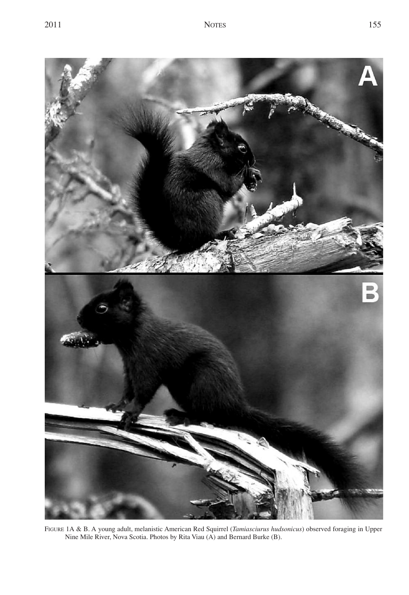

FIGURE 1A & B. A young adult, melanistic American Red Squirrel (*Tamiasciurus hudsonicus*) observed foraging in Upper Nine Mile River, Nova Scotia. Photos by Rita Viau (A) and Bernard Burke (B).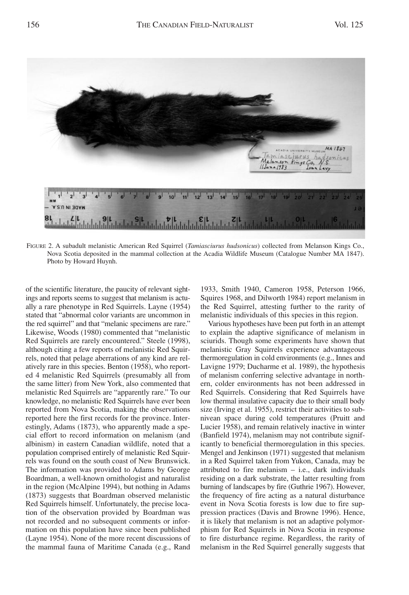

FIGURE 2. A subadult melanistic American Red Squirrel (*Tamiasciurus hudsonicus*) collected from Melanson Kings Co., Nova Scotia deposited in the mammal collection at the Acadia Wildlife Museum (Catalogue Number MA 1847). Photo by Howard Huynh.

of the scientific literature, the paucity of relevant sightings and reports seems to suggest that melanism is actually a rare phenotype in Red Squirrels. Layne (1954) stated that "abnormal color variants are uncommon in the red squirrel" and that "melanic specimens are rare." Likewise, Woods (1980) commented that "melanistic Red Squirrels are rarely encountered." Steele (1998), although citing a few reports of melanistic Red Squirrels, noted that pelage aberrations of any kind are relatively rare in this species. Benton (1958), who reported 4 melanistic Red Squirrels (presumably all from the same litter) from New York, also commented that melanistic Red Squirrels are "apparently rare." To our knowledge, no melanistic Red Squirrels have ever been reported from Nova Scotia, making the observations reported here the first records for the province. Interestingly, Adams (1873), who apparently made a special effort to record information on melanism (and albinism) in eastern Canadian wildlife, noted that a population comprised entirely of melanistic Red Squirrels was found on the south coast of New Brunswick. The information was provided to Adams by George Boardman, a well-known ornithologist and naturalist in the region (McAlpine 1994), but nothing in Adams (1873) suggests that Boardman observed melanistic Red Squirrels himself. Unfortunately, the precise location of the observation provided by Boardman was not recorded and no subsequent comments or information on this population have since been published (Layne 1954). None of the more recent discussions of the mammal fauna of Maritime Canada (e.g., Rand 1933, Smith 1940, Cameron 1958, Peterson 1966, Squires 1968, and Dilworth 1984) report melanism in the Red Squirrel, attesting further to the rarity of melanistic individuals of this species in this region.

Various hypotheses have been put forth in an attempt to explain the adaptive significance of melanism in sciurids. Though some experiments have shown that melanistic Gray Squirrels experience advantageous thermoregulation in cold environments (e.g., Innes and Lavigne 1979; Ducharme et al. 1989), the hypothesis of melanism conferring selective advantage in northern, colder environments has not been addressed in Red Squirrels. Considering that Red Squirrels have low thermal insulative capacity due to their small body size (Irving et al. 1955), restrict their activities to subnivean space during cold temperatures (Pruitt and Lucier 1958), and remain relatively inactive in winter (Banfield 1974), melanism may not contribute significantly to beneficial thermoregulation in this species. Mengel and Jenkinson (1971) suggested that melanism in a Red Squirrel taken from Yukon, Canada, may be attributed to fire melanism – i.e., dark individuals residing on a dark substrate, the latter resulting from burning of landscapes by fire (Guthrie 1967). However, the frequency of fire acting as a natural disturbance event in Nova Scotia forests is low due to fire suppression practices (Davis and Browne 1996). Hence, it is likely that melanism is not an adaptive polymorphism for Red Squirrels in Nova Scotia in response to fire disturbance regime. Regardless, the rarity of melanism in the Red Squirrel generally suggests that